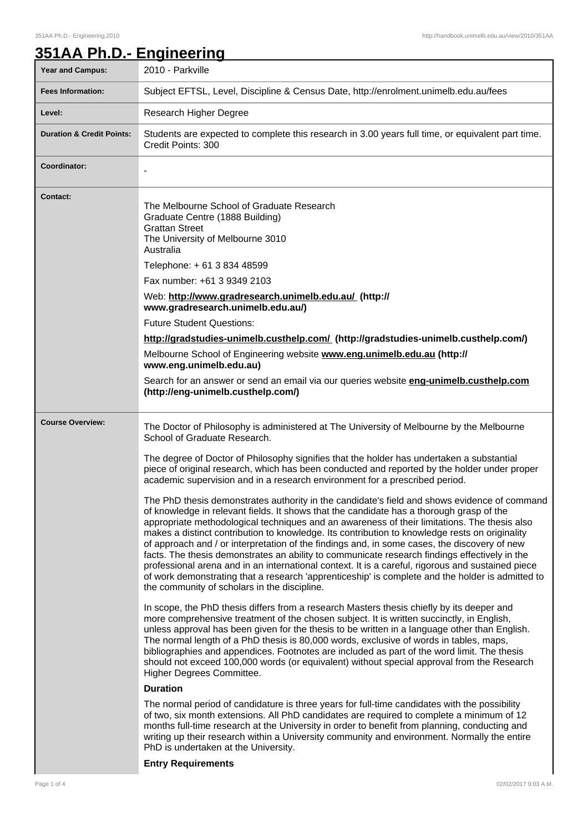٦

# **351AA Ph.D.- Engineering**

| <b>Year and Campus:</b>              | 2010 - Parkville                                                                                                                                                                                                                                                                                                                                                                                                                                                                                                                                                                                                                                                                                                                                                                                                                                                                                                                                                                                                                                                                                                                                                                                                                                                                                                                                                                                                                                                                                                                                                                                                                                                                                                                                                                                                                                                                                                                                                                                                                                                                                                                                                                                                                                                                                                                                                   |
|--------------------------------------|--------------------------------------------------------------------------------------------------------------------------------------------------------------------------------------------------------------------------------------------------------------------------------------------------------------------------------------------------------------------------------------------------------------------------------------------------------------------------------------------------------------------------------------------------------------------------------------------------------------------------------------------------------------------------------------------------------------------------------------------------------------------------------------------------------------------------------------------------------------------------------------------------------------------------------------------------------------------------------------------------------------------------------------------------------------------------------------------------------------------------------------------------------------------------------------------------------------------------------------------------------------------------------------------------------------------------------------------------------------------------------------------------------------------------------------------------------------------------------------------------------------------------------------------------------------------------------------------------------------------------------------------------------------------------------------------------------------------------------------------------------------------------------------------------------------------------------------------------------------------------------------------------------------------------------------------------------------------------------------------------------------------------------------------------------------------------------------------------------------------------------------------------------------------------------------------------------------------------------------------------------------------------------------------------------------------------------------------------------------------|
| <b>Fees Information:</b>             | Subject EFTSL, Level, Discipline & Census Date, http://enrolment.unimelb.edu.au/fees                                                                                                                                                                                                                                                                                                                                                                                                                                                                                                                                                                                                                                                                                                                                                                                                                                                                                                                                                                                                                                                                                                                                                                                                                                                                                                                                                                                                                                                                                                                                                                                                                                                                                                                                                                                                                                                                                                                                                                                                                                                                                                                                                                                                                                                                               |
| Level:                               | Research Higher Degree                                                                                                                                                                                                                                                                                                                                                                                                                                                                                                                                                                                                                                                                                                                                                                                                                                                                                                                                                                                                                                                                                                                                                                                                                                                                                                                                                                                                                                                                                                                                                                                                                                                                                                                                                                                                                                                                                                                                                                                                                                                                                                                                                                                                                                                                                                                                             |
| <b>Duration &amp; Credit Points:</b> | Students are expected to complete this research in 3.00 years full time, or equivalent part time.<br>Credit Points: 300                                                                                                                                                                                                                                                                                                                                                                                                                                                                                                                                                                                                                                                                                                                                                                                                                                                                                                                                                                                                                                                                                                                                                                                                                                                                                                                                                                                                                                                                                                                                                                                                                                                                                                                                                                                                                                                                                                                                                                                                                                                                                                                                                                                                                                            |
| Coordinator:                         |                                                                                                                                                                                                                                                                                                                                                                                                                                                                                                                                                                                                                                                                                                                                                                                                                                                                                                                                                                                                                                                                                                                                                                                                                                                                                                                                                                                                                                                                                                                                                                                                                                                                                                                                                                                                                                                                                                                                                                                                                                                                                                                                                                                                                                                                                                                                                                    |
| Contact:                             | The Melbourne School of Graduate Research<br>Graduate Centre (1888 Building)<br><b>Grattan Street</b><br>The University of Melbourne 3010<br>Australia<br>Telephone: +61 3 834 48599<br>Fax number: +61 3 9349 2103<br>Web: http://www.gradresearch.unimelb.edu.au/ (http://<br>www.gradresearch.unimelb.edu.au/)<br><b>Future Student Questions:</b><br>http://gradstudies-unimelb.custhelp.com/ (http://gradstudies-unimelb.custhelp.com/)<br>Melbourne School of Engineering website www.eng.unimelb.edu.au (http://<br>www.eng.unimelb.edu.au)                                                                                                                                                                                                                                                                                                                                                                                                                                                                                                                                                                                                                                                                                                                                                                                                                                                                                                                                                                                                                                                                                                                                                                                                                                                                                                                                                                                                                                                                                                                                                                                                                                                                                                                                                                                                                 |
|                                      | Search for an answer or send an email via our queries website <b>eng-unimelb.custhelp.com</b><br>(http://eng-unimelb.custhelp.com/)                                                                                                                                                                                                                                                                                                                                                                                                                                                                                                                                                                                                                                                                                                                                                                                                                                                                                                                                                                                                                                                                                                                                                                                                                                                                                                                                                                                                                                                                                                                                                                                                                                                                                                                                                                                                                                                                                                                                                                                                                                                                                                                                                                                                                                |
| <b>Course Overview:</b>              | The Doctor of Philosophy is administered at The University of Melbourne by the Melbourne<br>School of Graduate Research.<br>The degree of Doctor of Philosophy signifies that the holder has undertaken a substantial<br>piece of original research, which has been conducted and reported by the holder under proper<br>academic supervision and in a research environment for a prescribed period.<br>The PhD thesis demonstrates authority in the candidate's field and shows evidence of command<br>of knowledge in relevant fields. It shows that the candidate has a thorough grasp of the<br>appropriate methodological techniques and an awareness of their limitations. The thesis also<br>makes a distinct contribution to knowledge. Its contribution to knowledge rests on originality<br>of approach and / or interpretation of the findings and, in some cases, the discovery of new<br>facts. The thesis demonstrates an ability to communicate research findings effectively in the<br>professional arena and in an international context. It is a careful, rigorous and sustained piece<br>of work demonstrating that a research 'apprenticeship' is complete and the holder is admitted to<br>the community of scholars in the discipline.<br>In scope, the PhD thesis differs from a research Masters thesis chiefly by its deeper and<br>more comprehensive treatment of the chosen subject. It is written succinctly, in English,<br>unless approval has been given for the thesis to be written in a language other than English.<br>The normal length of a PhD thesis is 80,000 words, exclusive of words in tables, maps,<br>bibliographies and appendices. Footnotes are included as part of the word limit. The thesis<br>should not exceed 100,000 words (or equivalent) without special approval from the Research<br>Higher Degrees Committee.<br><b>Duration</b><br>The normal period of candidature is three years for full-time candidates with the possibility<br>of two, six month extensions. All PhD candidates are required to complete a minimum of 12<br>months full-time research at the University in order to benefit from planning, conducting and<br>writing up their research within a University community and environment. Normally the entire<br>PhD is undertaken at the University.<br><b>Entry Requirements</b> |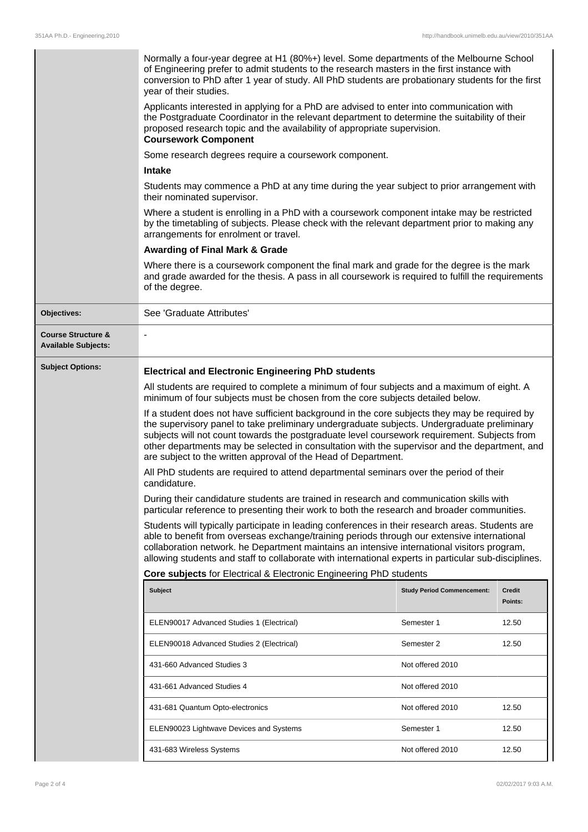|                                                             | Normally a four-year degree at H1 (80%+) level. Some departments of the Melbourne School<br>of Engineering prefer to admit students to the research masters in the first instance with<br>conversion to PhD after 1 year of study. All PhD students are probationary students for the first<br>year of their studies.<br>Applicants interested in applying for a PhD are advised to enter into communication with<br>the Postgraduate Coordinator in the relevant department to determine the suitability of their<br>proposed research topic and the availability of appropriate supervision.<br><b>Coursework Component</b><br>Some research degrees require a coursework component.<br><b>Intake</b><br>Students may commence a PhD at any time during the year subject to prior arrangement with<br>their nominated supervisor.<br>Where a student is enrolling in a PhD with a coursework component intake may be restricted<br>by the timetabling of subjects. Please check with the relevant department prior to making any<br>arrangements for enrolment or travel. |                                   |                          |
|-------------------------------------------------------------|-----------------------------------------------------------------------------------------------------------------------------------------------------------------------------------------------------------------------------------------------------------------------------------------------------------------------------------------------------------------------------------------------------------------------------------------------------------------------------------------------------------------------------------------------------------------------------------------------------------------------------------------------------------------------------------------------------------------------------------------------------------------------------------------------------------------------------------------------------------------------------------------------------------------------------------------------------------------------------------------------------------------------------------------------------------------------------|-----------------------------------|--------------------------|
|                                                             | <b>Awarding of Final Mark &amp; Grade</b>                                                                                                                                                                                                                                                                                                                                                                                                                                                                                                                                                                                                                                                                                                                                                                                                                                                                                                                                                                                                                                   |                                   |                          |
|                                                             | Where there is a coursework component the final mark and grade for the degree is the mark<br>and grade awarded for the thesis. A pass in all coursework is required to fulfill the requirements<br>of the degree.                                                                                                                                                                                                                                                                                                                                                                                                                                                                                                                                                                                                                                                                                                                                                                                                                                                           |                                   |                          |
| Objectives:                                                 | See 'Graduate Attributes'                                                                                                                                                                                                                                                                                                                                                                                                                                                                                                                                                                                                                                                                                                                                                                                                                                                                                                                                                                                                                                                   |                                   |                          |
| <b>Course Structure &amp;</b><br><b>Available Subjects:</b> |                                                                                                                                                                                                                                                                                                                                                                                                                                                                                                                                                                                                                                                                                                                                                                                                                                                                                                                                                                                                                                                                             |                                   |                          |
| <b>Subject Options:</b>                                     | <b>Electrical and Electronic Engineering PhD students</b>                                                                                                                                                                                                                                                                                                                                                                                                                                                                                                                                                                                                                                                                                                                                                                                                                                                                                                                                                                                                                   |                                   |                          |
|                                                             | All students are required to complete a minimum of four subjects and a maximum of eight. A<br>minimum of four subjects must be chosen from the core subjects detailed below.                                                                                                                                                                                                                                                                                                                                                                                                                                                                                                                                                                                                                                                                                                                                                                                                                                                                                                |                                   |                          |
|                                                             | If a student does not have sufficient background in the core subjects they may be required by<br>the supervisory panel to take preliminary undergraduate subjects. Undergraduate preliminary<br>subjects will not count towards the postgraduate level coursework requirement. Subjects from<br>other departments may be selected in consultation with the supervisor and the department, and<br>are subject to the written approval of the Head of Department.                                                                                                                                                                                                                                                                                                                                                                                                                                                                                                                                                                                                             |                                   |                          |
|                                                             | All PhD students are required to attend departmental seminars over the period of their<br>candidature.                                                                                                                                                                                                                                                                                                                                                                                                                                                                                                                                                                                                                                                                                                                                                                                                                                                                                                                                                                      |                                   |                          |
|                                                             | During their candidature students are trained in research and communication skills with<br>particular reference to presenting their work to both the research and broader communities.                                                                                                                                                                                                                                                                                                                                                                                                                                                                                                                                                                                                                                                                                                                                                                                                                                                                                      |                                   |                          |
|                                                             | Students will typically participate in leading conferences in their research areas. Students are<br>able to benefit from overseas exchange/training periods through our extensive international<br>collaboration network. he Department maintains an intensive international visitors program,<br>allowing students and staff to collaborate with international experts in particular sub-disciplines.                                                                                                                                                                                                                                                                                                                                                                                                                                                                                                                                                                                                                                                                      |                                   |                          |
|                                                             | Core subjects for Electrical & Electronic Engineering PhD students                                                                                                                                                                                                                                                                                                                                                                                                                                                                                                                                                                                                                                                                                                                                                                                                                                                                                                                                                                                                          |                                   |                          |
|                                                             | Subject                                                                                                                                                                                                                                                                                                                                                                                                                                                                                                                                                                                                                                                                                                                                                                                                                                                                                                                                                                                                                                                                     | <b>Study Period Commencement:</b> | <b>Credit</b><br>Points: |
|                                                             | ELEN90017 Advanced Studies 1 (Electrical)                                                                                                                                                                                                                                                                                                                                                                                                                                                                                                                                                                                                                                                                                                                                                                                                                                                                                                                                                                                                                                   | Semester 1                        | 12.50                    |
|                                                             | ELEN90018 Advanced Studies 2 (Electrical)                                                                                                                                                                                                                                                                                                                                                                                                                                                                                                                                                                                                                                                                                                                                                                                                                                                                                                                                                                                                                                   | Semester 2                        | 12.50                    |
|                                                             | 431-660 Advanced Studies 3                                                                                                                                                                                                                                                                                                                                                                                                                                                                                                                                                                                                                                                                                                                                                                                                                                                                                                                                                                                                                                                  | Not offered 2010                  |                          |
|                                                             | 431-661 Advanced Studies 4                                                                                                                                                                                                                                                                                                                                                                                                                                                                                                                                                                                                                                                                                                                                                                                                                                                                                                                                                                                                                                                  | Not offered 2010                  |                          |
|                                                             | 431-681 Quantum Opto-electronics                                                                                                                                                                                                                                                                                                                                                                                                                                                                                                                                                                                                                                                                                                                                                                                                                                                                                                                                                                                                                                            | Not offered 2010                  | 12.50                    |
|                                                             | ELEN90023 Lightwave Devices and Systems                                                                                                                                                                                                                                                                                                                                                                                                                                                                                                                                                                                                                                                                                                                                                                                                                                                                                                                                                                                                                                     | Semester 1                        | 12.50                    |
|                                                             | 431-683 Wireless Systems                                                                                                                                                                                                                                                                                                                                                                                                                                                                                                                                                                                                                                                                                                                                                                                                                                                                                                                                                                                                                                                    | Not offered 2010                  | 12.50                    |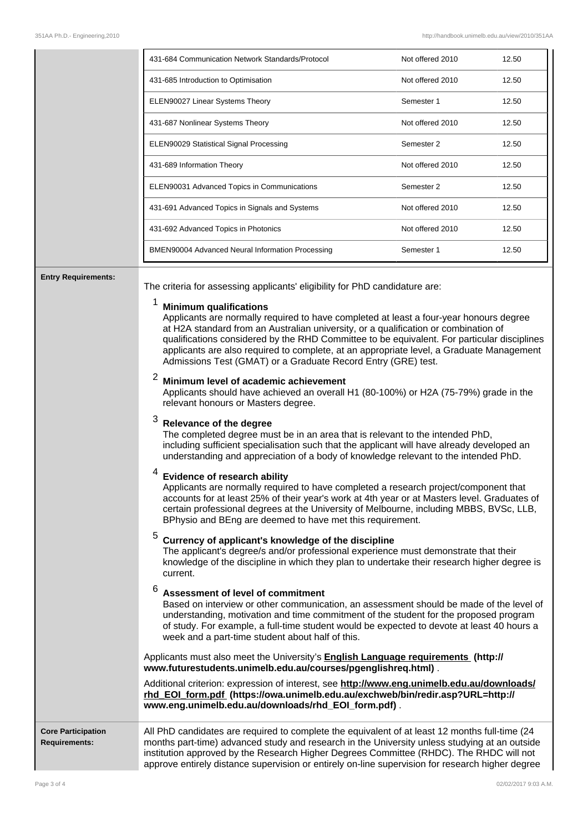**Entr** 

|                  | 431-684 Communication Network Standards/Protocol                                                                                                                                                                                                                                                                                                                                             | Not offered 2010 | 12.50 |
|------------------|----------------------------------------------------------------------------------------------------------------------------------------------------------------------------------------------------------------------------------------------------------------------------------------------------------------------------------------------------------------------------------------------|------------------|-------|
|                  | 431-685 Introduction to Optimisation                                                                                                                                                                                                                                                                                                                                                         | Not offered 2010 | 12.50 |
|                  | ELEN90027 Linear Systems Theory                                                                                                                                                                                                                                                                                                                                                              | Semester 1       | 12.50 |
|                  | 431-687 Nonlinear Systems Theory                                                                                                                                                                                                                                                                                                                                                             | Not offered 2010 | 12.50 |
|                  | <b>ELEN90029 Statistical Signal Processing</b>                                                                                                                                                                                                                                                                                                                                               | Semester 2       | 12.50 |
|                  | 431-689 Information Theory                                                                                                                                                                                                                                                                                                                                                                   | Not offered 2010 | 12.50 |
|                  | ELEN90031 Advanced Topics in Communications                                                                                                                                                                                                                                                                                                                                                  | Semester 2       | 12.50 |
|                  | 431-691 Advanced Topics in Signals and Systems                                                                                                                                                                                                                                                                                                                                               | Not offered 2010 | 12.50 |
|                  | 431-692 Advanced Topics in Photonics                                                                                                                                                                                                                                                                                                                                                         | Not offered 2010 | 12.50 |
|                  | BMEN90004 Advanced Neural Information Processing                                                                                                                                                                                                                                                                                                                                             | Semester 1       | 12.50 |
| ry Requirements: | The criteria for assessing applicants' eligibility for PhD candidature are:<br><b>Minimum qualifications</b><br>Applicants are normally required to have completed at least a four-year honours degree<br>at H2A standard from an Australian university, or a qualification or combination of<br>qualifications considered by the RHD Committee to be equivalent. For particular disciplines |                  |       |

applicants are also required to complete, at an appropriate level, a Graduate Management Admissions Test (GMAT) or a Graduate Record Entry (GRE) test.

## <sup>2</sup> **Minimum level of academic achievement**

Applicants should have achieved an overall H1 (80-100%) or H2A (75-79%) grade in the relevant honours or Masters degree.

## <sup>3</sup> **Relevance of the degree**

The completed degree must be in an area that is relevant to the intended PhD, including sufficient specialisation such that the applicant will have already developed an understanding and appreciation of a body of knowledge relevant to the intended PhD.

#### <sup>4</sup> **Evidence of research ability**

Applicants are normally required to have completed a research project/component that accounts for at least 25% of their year's work at 4th year or at Masters level. Graduates of certain professional degrees at the University of Melbourne, including MBBS, BVSc, LLB, BPhysio and BEng are deemed to have met this requirement.

## <sup>5</sup> **Currency of applicant's knowledge of the discipline**

The applicant's degree/s and/or professional experience must demonstrate that their knowledge of the discipline in which they plan to undertake their research higher degree is current.

## <sup>6</sup> **Assessment of level of commitment**

Based on interview or other communication, an assessment should be made of the level of understanding, motivation and time commitment of the student for the proposed program of study. For example, a full-time student would be expected to devote at least 40 hours a week and a part-time student about half of this.

Applicants must also meet the University's **English Language requirements (http:// www.futurestudents.unimelb.edu.au/courses/pgenglishreq.html)** .

Additional criterion: expression of interest, see **http://www.eng.unimelb.edu.au/downloads/ rhd\_EOI\_form.pdf (https://owa.unimelb.edu.au/exchweb/bin/redir.asp?URL=http:// www.eng.unimelb.edu.au/downloads/rhd\_EOI\_form.pdf)** .

**Core Participation** All PhD candidates are required to complete the equivalent of at least 12 months full-time (24 months part-time) advanced study and research in the University unless studying at an outside institution approved by the Research Higher Degrees Committee (RHDC). The RHDC will not approve entirely distance supervision or entirely on-line supervision for research higher degree

**Requirements:**